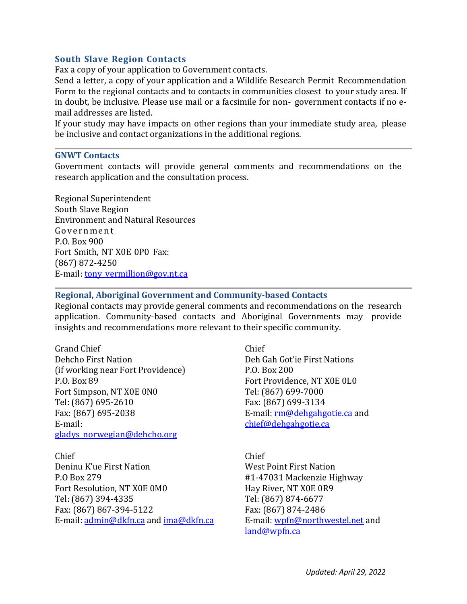# **South Slave Region Contacts**

Fax a copy of your application to Government contacts.

Send a letter, a copy of your application and a Wildlife Research Permit Recommendation Form to the regional contacts and to contacts in communities closest to your study area. If in doubt, be inclusive. Please use mail or a facsimile for non- government contacts if no email addresses are listed.

If your study may have impacts on other regions than your immediate study area, please be inclusive and contact organizations in the additional regions.

# **GNWT Contacts**

Government contacts will provide general comments and recommendations on the research application and the consultation process.

Regional Superintendent South Slave Region Environment and Natural Resources Government P.O. Box 900 Fort Smith, NT X0E 0P0 Fax: (867) 872-4250 E-mail: [tony\\_vermillion@gov.nt.ca](mailto:tony_vermillion@gov.nt.ca)

# **Regional, Aboriginal Government and Community-based Contacts**

Regional contacts may provide general comments and recommendations on the research application. Community-based contacts and Aboriginal Governments may provide insights and recommendations more relevant to their specific community.

Grand Chief Chief (if working near Fort Providence)<br>P.O. Box 89 Fort Simpson, NT X0E 0N0<br>Tel: (867) 695-2610 Fax: (867) 699-3134 Tel: (867) 695-2610<br>Fax: (867) 695-2038 Fax: (867) 695-2038 E-mail: <u>[rm@dehgahgotie.ca](mailto:rm@dehgahgotie.ca)</u> and E-mail: <u>rm</u><br>E-mail: entitled to the entitled to the entitled to the entitled to the E-mail: [gladys\\_norwegian@dehcho.org](http://diims.pws.gov.nt.ca/yk32vapp05pdav/nodes/21219298/gladys_norwegian%40dehcho.org) 

Chief Chief Deninu K'ue First Nation West Point First Nation Fort Resolution, NT X0E 0M0 Hay River, NT X0E 0R9 Tel: (867) 394-4335 Tel: (867) 874-6677 Fax: (867) 867-394-5122<br>
E-mail: admin@dkfn.ca and ima@dkfn.ca E-mail: wpfn@northwestel.net and E-mail[: admin@dkfn.ca](http://diims.pws.gov.nt.ca/yk32vapp05pdav/nodes/21219298/admin%40dkfn.ca) and [ima@dkfn.ca](mailto:ima@dkfn.ca)

Deh Gah Got'ie First Nations<br>P.O. Box 200 Fort Providence, NT X0E 0L0<br>Tel: (867) 699-7000 chief@dehgahgotie.ca

#1-47031 Mackenzie Highway<br>Hay River, NT X0E 0R9 [land@wpfn.ca](mailto:land@wpfn.ca)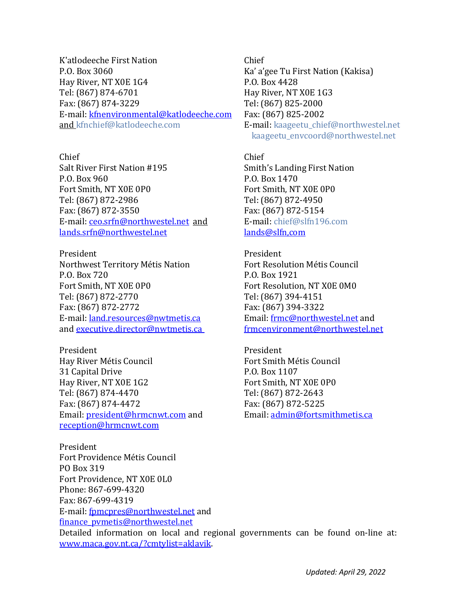K'atlodeeche First Nation Chief Hay River, NT X0E 1G4<br>Tel: (867) 874-6701 Fax: (867) 874-3229 Tel: (867) 825-2000<br>E-mail: kfnenvironmental@katlodeeche.com Fax: (867) 825-2002 E-mail: [kfnenvironmental@katlodeeche.com](mailto:kfnenvironmental@katlodeeche.com)<br>and kfnchief@katlodeeche.com

Chief Chief Salt River First Nation #195 Smith's Landing First Nation<br>P.O. Box 960 P.O. Box 1470 Fort Smith, NT X0E 0P0<br>
Tel: (867) 872-2986<br>
Tel: (867) 872-4950 Tel: (867) 872-2986<br>Fax: (867) 872-3550 Fax: (867) 872-5154 Fax: (867) 872-3550<br>
E-mail: ceo.srfn@northwestel.net and E-mail: chief@slfn196.com E-mail: <u>ceo.srfn@northwestel.net</u> and E-mail: chief@slf<br>lands.srfn@northwestel.net landsamerican lands@slfn.com  $lands.srfn@northwestel.net$ 

President President Northwest Territory Métis Nation<br>
P.O. Box 720<br>
P.O. Box 1921<br>
P.O. Box 1921 P.O. Box 720<br>Fort Smith, NT X0E 0P0 Fort Resolutio Tel: (867) 872-2770<br>Fax: (867) 872-2772 Fax: (867) 394-3322 Fax: (867) 872-2772<br>E-mail: land.resources@nwtmetis.ca Fig. Email: frmc@northwestel.net and E-mail: <u>[land.resources@nwtmetis.ca](mailto:land.resources@nwtmetis.ca)</u> Email: <u>frmc@northwestel.net</u> and<br>and <u>executive.director@nwtmetis.ca</u> frmcenvironment@northwestel.net and [executive.director@nwtmetis.ca](mailto:executive.director@nwtmetis.ca)

President President Hay River Métis Council<br>
31 Capital Drive<br>
21 Capital Drive<br>
21 Capital Drive<br>
21 Capital Drive<br>
21 Capital Drive<br>
22 Capital Drive<br>
22 Capital Drive<br>
22 Capital Drive<br>
23 Capital Drive<br>
23 Capital Drive<br>
23 Capital Drive<br> 31 Capital Drive P.O. Box 1107 Hay River, NT X0E 1G2<br>
Tel: (867) 874-4470<br>
Tel: (867) 872-2643 Tel: (867) 874-4470 Tel: (867) 872-2643 Fax: (867) 874-4472<br>
Email: <u>president@hrmcnwt.com</u> and Email: <u>admin@fortsmithmetis.ca</u> Email: [president@hrmcnwt.com](mailto:president@hrmcnwt.com) and [reception@hrmcnwt.com](mailto:reception@hrmcnwt.com) 

Ka' a'gee Tu First Nation (Kakisa)<br>P.O. Box 4428 Hay River, NT X0E 1G3<br>Tel: (867) 825-2000 E-mail: [kaageetu\\_chief@northwestel.net](http://diims.pws.gov.nt.ca/yk32vapp05pdav/nodes/21219298/kaageetu_chief%40northwestel.net) [kaageetu\\_envcoord@northwestel.net](http://diims.pws.gov.nt.ca/yk32vapp05pdav/nodes/21219298/kaageetu_envcoord%40northwestel.net)

P.O. Box 1470<br>Fort Smith, NT X0E 0P0

Fort Resolution, NT X0E 0M0<br>Tel: (867) 394-4151

President Fort Providence Métis Council PO Box 319 Fort Providence, NT X0E 0L0 Phone: 867-699-4320 Fax: 867-699-4319 E-mail[: fpmcpres@northwestel.net](mailto:fpmcpres@northwestel.net) and [finance\\_pvmetis@northwestel.net](mailto:finance_pvmetis@northwestel.net)  Detailed information on local and regional governments can be found on-line at: [www.maca.gov.nt.ca/?cmtylist=aklavik.](http://www.maca.gov.nt.ca/?cmtylist=aklavik)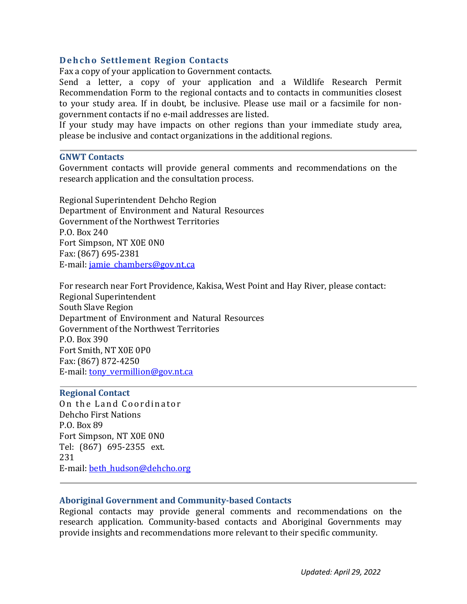# **Dehcho Settlement Region Contacts**

Fax a copy of your application to Government contacts.

Send a letter, a copy of your application and a Wildlife Research Permit Recommendation Form to the regional contacts and to contacts in communities closest to your study area. If in doubt, be inclusive. Please use mail or a facsimile for nongovernment contacts if no e-mail addresses are listed.

If your study may have impacts on other regions than your immediate study area, please be inclusive and contact organizations in the additional regions.

### **GNWT Contacts**

Government contacts will provide general comments and recommendations on the research application and the consultation process.

Regional Superintendent Dehcho Region Department of Environment and Natural Resources Government of the Northwest Territories P.O. Box 240 Fort Simpson, NT X0E 0N0 Fax: (867) 695-2381 E-mail: [jamie\\_chambers@gov.nt.ca](mailto:jamie_chambers@gov.nt.ca) 

For research near Fort Providence, Kakisa, West Point and Hay River, please contact: Regional Superintendent South Slave Region Department of Environment and Natural Resources Government of the Northwest Territories P.O. Box 390 Fort Smith, NT X0E 0P0 Fax: (867) 872-4250 E-mail: [tony\\_vermillion@gov.nt.ca](mailto:tony_vermillion@gov.nt.ca) 

### **Regional Contact**

On the Land Coordinator Dehcho First Nations P.O. Box 89 Fort Simpson, NT X0E 0N0 Tel: (867) 695-2355 ext. 231 E-mail: [beth\\_hudson@dehcho.org](mailto:beth_hudson@dehcho.org) 

# **Aboriginal Government and Community-based Contacts**

Regional contacts may provide general comments and recommendations on the research application. Community-based contacts and Aboriginal Governments may provide insights and recommendations more relevant to their specific community.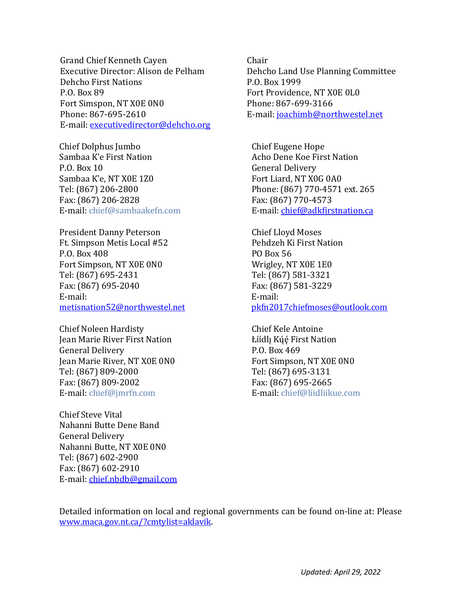Grand Chief Kenneth Cayen Chair Dehcho First Nations<br>P.O. Box 89 Fort Simspon, NT X0E 0N0<br>Phone: 867-695-2610 E-mail: [executivedirector@dehcho.org](mailto:executivedirector@dehcho.org) 

Chief Dolphus Jumbo Chief Eugene Hope Sambaa K'e First Nation **Acho Dene Koe First Nation**<br>P.O. Box 10 **Acho Dene Koe First Nation** Sambaa K'e, NT X0E 1Z0<br>Tel: (867) 206-2800 Fax:  $(867)$  206-2828<br>E-mail: chief@sambaakefn.com

President Danny Peterson Chief Lloyd Moses Ft. Simpson Metis Local #52 Pehdzeh K<br>P.O. Box 408 PO Box 56 P.O. Box 408<br>
Fort Simpson, NT X0E 0N0<br>
Fort Simpson, NT X0E 0N0<br>
Wrigley, NT X0E 1E0 Fort Simpson, NT X0E 0N0 Wrigley, NT X0E 1E0 Tel: (867) 695-2431 Tel: (867) 581-3321<br>Fax: (867) 695-2040 Fax: (867) 581-3229 Fax: (867) 695-2040<br>
E-mail: Fax: (86 E-mail: E-mail:

Chief Noleen Hardisty<br>
Jean Marie River First Nation<br>
Liídlı Kúé First Nation Jean Marie River First Nation <br>General Delivery Ceneral Delivery General Delivery<br>
Jean Marie River, NT X0E 0N0<br>
Fort Simpson, NT X0E 0N0 Jean Marie River, NT X0E 0N0<br>
Tel: (867) 809-2000<br>
Tel: (867) 695-3131 Tel: (867) 809-2000<br>Fax: (867) 809-2002 Fax: (867) 695-2665 Fax: (867) 809-2002<br>E-mail: chief@jmrfn.com

Chief Steve Vital Nahanni Butte Dene Band General Delivery Nahanni Butte, NT X0E 0N0 Tel: (867) 602-2900 Fax: (867) 602-2910 E-mail: [chief.nbdb@gmail.com](http://diims.pws.gov.nt.ca/yk32vapp05pdav/nodes/21219298/chief.nbdb%40gmail.com)  Dehcho Land Use Planning Committee<br>P.O. Box 1999 Fort Providence, NT X0E 0L0<br>Phone: 867-699-3166 E-mail: [joachimb@northwestel.net](mailto:joachimb@northwestel.net)

General Delivery<br>Fort Liard, NT X0G 0A0 Phone: (867) 770-4571 ext. 265<br>Fax: (867) 770-4573 E-mail[: chief@adkfirstnation.ca](http://diims.pws.gov.nt.ca/yk32vapp05pdav/nodes/21219298/chief%40adkfirstnation.ca)

[metisnation52@northwestel.net](http://diims.pws.gov.nt.ca/yk32vapp05pdav/nodes/21219298/metisnation52%40northwestel.net) [pkfn2017chiefmoses@outlook.com](mailto:pkfn2017chiefmoses@outlook.com)

E-mail: [chief@liidliikue.com](http://diims.pws.gov.nt.ca/yk32vapp05pdav/nodes/21219298/chief%40liidliikue.com)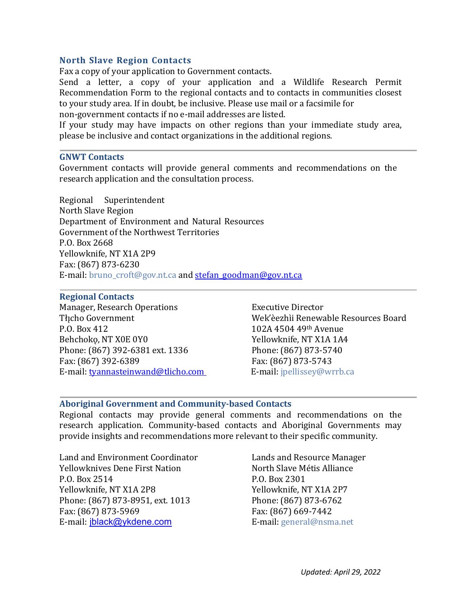# **North Slave Region Contacts**

Fax a copy of your application to Government contacts.

Send a letter, a copy of your application and a Wildlife Research Permit Recommendation Form to the regional contacts and to contacts in communities closest to your study area. If in doubt, be inclusive. Please use mail or a facsimile for non-government contacts if no e-mail addresses are listed.

If your study may have impacts on other regions than your immediate study area, please be inclusive and contact organizations in the additional regions.

### **GNWT Contacts**

Government contacts will provide general comments and recommendations on the research application and the consultation process.

Regional Superintendent North Slave Region Department of Environment and Natural Resources Government of the Northwest Territories P.O. Box 2668 Yellowknife, NT X1A 2P9 Fax: (867) 873-6230 E-mail: [bruno\\_croft@gov.nt.ca](http://diims.pws.gov.nt.ca/yk32vapp05pdav/nodes/21219298/bruno_croft%40gov.nt.ca) and stefan\_goodman@gov.nt.ca

# **Regional Contacts**

Manager, Research Operations<br>
Thcho Government<br>
Wek'èezhìi Renewa P.O. Box 412 102A 4504 49th Avenue Phone: (867) 392-6381 ext. 1336 Phone: (867) 873-5743<br>Fax: (867) 392-6389 Fax: (867) 873-5743 Fax: (867) 392-6389 Fax: (867) 873-5743 E-mail[: tyannasteinwand@tlicho.com](mailto:tyannasteinwand@tlicho.com)

Tłįcho Government Wek'èezhìi Renewable Resources Board<br>P.O. Box 412 102A 4504 49<sup>th</sup> Avenue Yellowknife, NT X1A 1A4<br>Phone: (867) 873-5740

# **Aboriginal Government and Community-based Contacts**

Regional contacts may provide general comments and recommendations on the research application. Community-based contacts and Aboriginal Governments may provide insights and recommendations more relevant to their specific community.

Land and Environment Coordinator **Lands and Resource Manager**<br>
Yellowknives Dene First Nation **North Slave Metis Alliance** Yellowknives Dene First Nation North Slave M<br>P.O. Box 2514 P.O. Box 2301 P.O. Box 2514<br>
Yellowknife. NT X1A 2P8<br>
Yellowknife. NT X1A 2P8<br>
Yellowknife. NT X1A 2P7 Yellowknife, NT X1A 2P8<br>
Phone: (867) 873-8951, ext. 1013<br>
Phone: (867) 873-6762 Phone: (867) 873-8951, ext. 1013 Phone: (867) 873-67<br>Fax: (867) 873-5969 Fax: (867) 669-7442 Fax: (867) 873-5969 Fax: (867) 669-7442 E-mail: [jblack@ykdene.com](mailto:jblack@ykdene.com)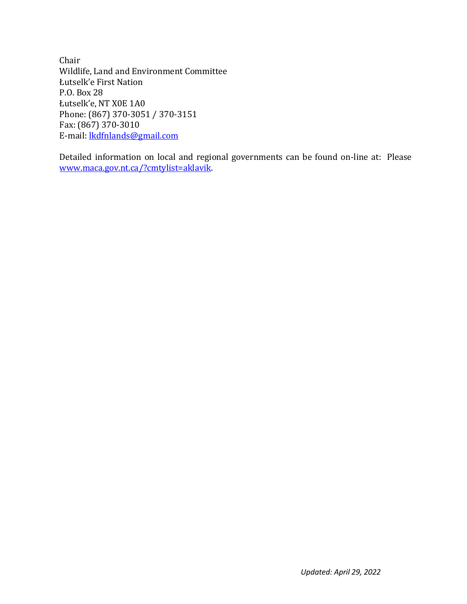Chair Wildlife, Land and Environment Committee Łutselk'e First Nation P.O. Box 28 Łutselk'e, NT X0E 1A0 Phone: (867) 370-3051 / 370-3151 Fax: (867) 370-3010 E-mail: [lkdfnlands@gmail.com](mailto:lkdfnlands@gmail.com)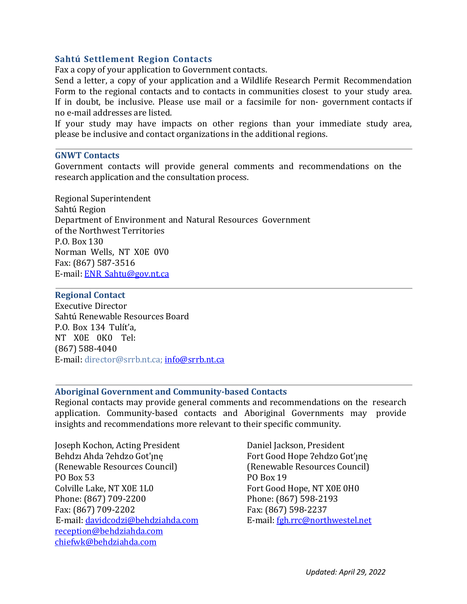# **Sahtú Settlement Region Contacts**

Fax a copy of your application to Government contacts.

Send a letter, a copy of your application and a Wildlife Research Permit Recommendation Form to the regional contacts and to contacts in communities closest to your study area. If in doubt, be inclusive. Please use mail or a facsimile for non- government contacts if no e-mail addresses are listed.

If your study may have impacts on other regions than your immediate study area, please be inclusive and contact organizations in the additional regions.

### **GNWT Contacts**

Government contacts will provide general comments and recommendations on the research application and the consultation process.

Regional Superintendent Sahtú Region Department of Environment and Natural Resources Government of the Northwest Territories P.O. Box 130 Norman Wells, NT X0E 0V0 Fax: (867) 587-3516 E-mail: [ENR\\_Sahtu@gov.nt.ca](mailto:ENR_Sahtu@gov.nt.ca)

# **Regional Contact**

Executive Director Sahtú Renewable Resources Board P.O. Box 134 Tulít'a, NT X0E 0K0 Tel: (867) 588-4040 E-mail: [director@srrb.nt.ca;](http://diims.pws.gov.nt.ca/yk32vapp05pdav/nodes/21219298/director%40srrb.nt.ca) [info@srrb.nt.ca](mailto:info@srrb.nt.ca)

# **Aboriginal Government and Community-based Contacts**

Regional contacts may provide general comments and recommendations on the research application. Community-based contacts and Aboriginal Governments may provide insights and recommendations more relevant to their specific community.

Joseph Kochon, Acting President Daniel Jackson, President (Renewable Resources Council) (Renewable Resources Council) (Renewable PO Box 19 PO Box 53 PO Box 19 Colville Lake, NT X0E 1L0<br>
Phone: (867) 709-2200<br>
Phone: (867) 598-2193 Phone: (867) 709-2200<br>Fax: (867) 709-2202 Fax: (867) 598-2237 Fax: (867) 709-2202<br>
E-mail: davidcodzi@behdziahda.com E-mail: fgh.rrc@northwestel.net E-mail: davidcodzi@behdziahda.com [reception@behdziahda.com](mailto:reception@behdziahda.com) [chiefwk@behdziahda.com](mailto:chiefwk@behdziahda.com) 

Fort Good Hope ?ehdzo Got'ı̯nę<br>(Renewable Resources Council)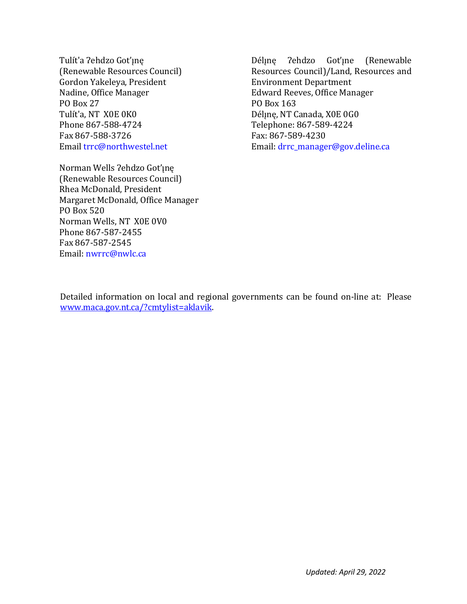Tulít'a ?ehdzo Got'ınę (Renewable Resources Council) Gordon Yakeleya, President Nadine, Office Manager PO Box 27 Tulít'a, NT X0E 0K0 Phone 867-588-4724 Fax 867-588-3726 Emai[l trrc@northwestel.net](mailto:trrc@northwestel.net)

Norman Wells ?ehdzo Got'ıne (Renewable Resources Council) Rhea McDonald, President Margaret McDonald, Office Manager PO Box 520 Norman Wells, NT X0E 0V0 Phone 867-587-2455 Fax 867-587-2545 Email: [nwrrc@nwlc.ca](mailto:nwrrc@nwlc.ca)

Déline ?ehdzo Got'ıne (Renewable Resources Council)/Land, Resources and Environment Department Edward Reeves, Office Manager PO Box 163 Déline, NT Canada, X0E 0G0 Telephone: 867-589-4224 Fax: 867-589-4230 Email: [drrc\\_manager@gov.deline.ca](mailto:drrc_manager@gov.deline.ca)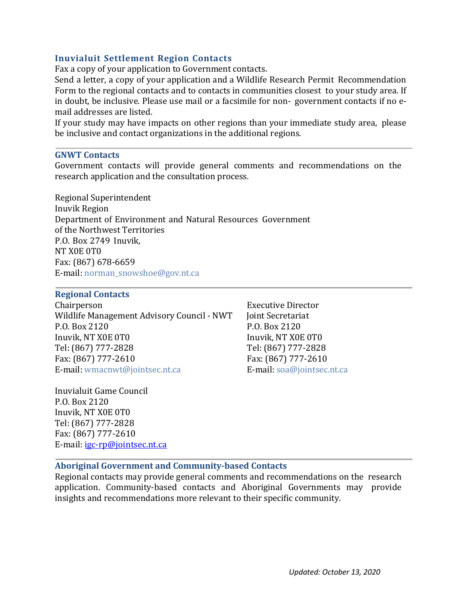# **Inuvialuit Settlement Region Contacts**

Fax a copy of your application to Government contacts.

Send a letter, a copy of your application and a Wildlife Research Permit Recommendation Form to the regional contacts and to contacts in communities closest to your study area. If in doubt, be inclusive. Please use mail or a facsimile for non- government contacts if no email addresses are listed.

If your study may have impacts on other regions than your immediate study area, please be inclusive and contact organizations in the additional regions.

# **GNWT Contacts**

Government contacts will provide general comments and recommendations on the research application and the consultation process.

Regional Superintendent Inuvik Region Department of Environment and Natural Resources Government of the Northwest Territories P.O. Box 2749 Inuvik, NT X0E 0T0 Fax: (867) 678-6659 E-mail: [norman\\_snowshoe@gov.nt.ca](http://diims.pws.gov.nt.ca/yk32vapp05pdav/nodes/21219298/norman_snowshoe%40gov.nt.ca)

# **Regional Contacts**

Chairperson Executive Director<br>Wildlife Management Advisory Council - NWT Ioint Secretariat Wildlife Management Advisory Council - NWT<br>P.O. Box 2120 Inuvik, NT X0E 0T0 Inuvik, NT X0E 0T0 Tel: (867) 777-2828 Tel: (867) 777-2828 Fax: (867) 777-2610 Fax: (867) 777-2610 E-mail: [wmacnwt@jointsec.nt.ca](http://diims.pws.gov.nt.ca/yk32vapp05pdav/nodes/21219298/wmacnwt%40jointsec.nt.ca)

Inuvialuit Game Council P.O. Box 2120 Inuvik, NT X0E 0T0 Tel: (867) 777-2828 Fax: (867) 777-2610 E-mail: [igc-rp@jointsec.nt.ca](mailto:igc-rp@jointsec.nt.ca)  P.O. Box 2120<br>Inuvik. NT X0E 0T0

# **Aboriginal Government and Community-based Contacts**

Regional contacts may provide general comments and recommendations on the research application. Community-based contacts and Aboriginal Governments may provide insights and recommendations more relevant to their specific community.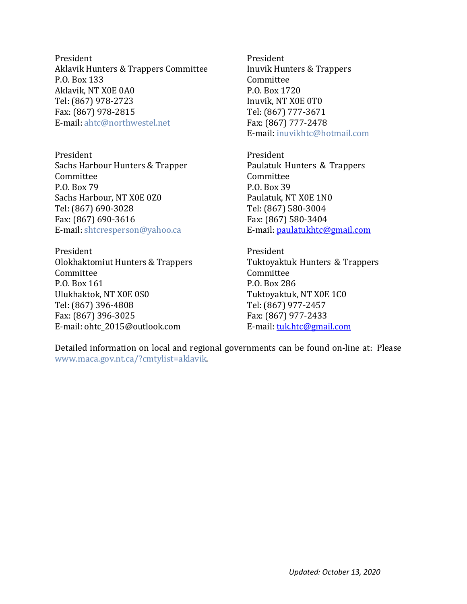President President Aklavik Hunters & Trappers Committee Thuvik Hunters & Trappers P.O. Box 133<br>
Aklavik. NT X0E 0A0<br>
Aklavik. NT X0E 0A0 Aklavik, NT X0E 0A0 P.O. Box 1720 Tel: (867) 978-2723 Inuvik, NT X0E 0T0 Fax: (867) 978-2815 Tel: (867) 777-3671 E-mail: ahtc@northwestel.net

President President Sachs Harbour Hunters & Trapper Paulatuk Hunters & Trappers<br>
Committee Committee Committee<br>P.O. Box 79 Sachs Harbour, NT X0E 0Z0 Paulatuk, NT X0E 1N0 Tel: (867) 690-3028<br>Fax: (867) 690-3616 Fax: (867) 580-3404 Fax: (867) 690-3616 Fax: (867) 580-3404 E-mail: [shtcresperson@yahoo.ca](http://diims.pws.gov.nt.ca/yk32vapp05pdav/nodes/21219298/sachshunters%40yahoo.ca)

President President Olokhaktomiut Hunters & Trappers<br>
Committee Committee Committee Committee Committee P.O. Box 161 P.O. Box 286<br>Ulukhaktok. NT X0E 0S0 P.O. Box 286 Tel: (867) 396-4808<br>Fax: (867) 396-3025 Fax: (867) 977-2433 Fax: (867) 396-3025<br>
E-mail: ohtc 2015@outlook.com E-mail: tuk.htc@gmail.com E-mail: ohtc 2015@outlook.com

E-mail: [inuvikhtc@hotmail.com](http://diims.pws.gov.nt.ca/yk32vapp05pdav/nodes/21219298/inuvikhtc%40hotmail.com)

P.O. Box 39<br>Paulatuk, NT X0E 1N0

Tuktoyaktuk, NT X0E 1C0<br>Tel: (867) 977-2457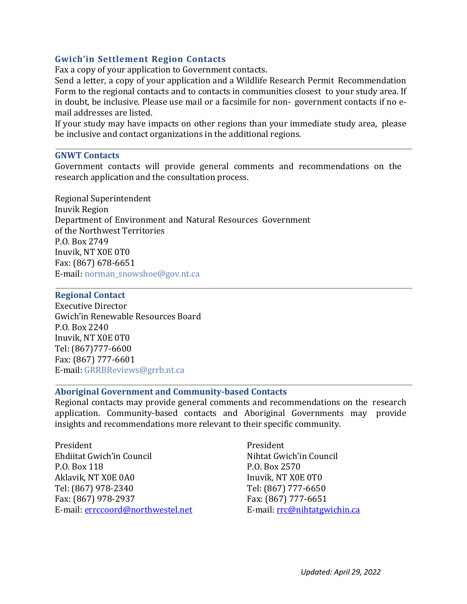# **Gwich'in Settlement Region Contacts**

Fax a copy of your application to Government contacts.

Send a letter, a copy of your application and a Wildlife Research Permit Recommendation Form to the regional contacts and to contacts in communities closest to your study area. If in doubt, be inclusive. Please use mail or a facsimile for non- government contacts if no email addresses are listed.

If your study may have impacts on other regions than your immediate study area, please be inclusive and contact organizations in the additional regions.

# **GNWT Contacts**

Government contacts will provide general comments and recommendations on the research application and the consultation process.

Regional Superintendent Inuvik Region Department of Environment and Natural Resources Government of the Northwest Territories P.O. Box 2749 Inuvik, NT X0E 0T0 Fax: (867) 678-6651 E-mail: [norman\\_snowshoe@gov.nt.ca](http://diims.pws.gov.nt.ca/yk32vapp05pdav/nodes/21219298/norman_snowshoe%40gov.nt.ca)

# **Regional Contact**

Executive Director Gwich'in Renewable Resources Board P.O. Box 2240 Inuvik, NT X0E 0T0 Tel: (867)777-6600 Fax: (867) 777-6601 E-mail: [GRRBReviews@grrb.nt.ca](http://diims.pws.gov.nt.ca/yk32vapp05pdav/nodes/21219298/GRRBReviews%40grrb.nt.ca)

# **Aboriginal Government and Community-based Contacts**

Regional contacts may provide general comments and recommendations on the research application. Community-based contacts and Aboriginal Governments may provide insights and recommendations more relevant to their specific community.

President President Ehdiitat Gwich'in Council<br>
P.O. Box 118<br>
P.O. Box 2570 Aklavik, NT X0E 0A0 Inuvik, NT X0E 0T0 Tel: (867) 978-2340 Tel: (867) 777-6650 Fax: (867) 978-2937<br>
E-mail: errccoord@northwestel.net E-mail: rrc@nihtatgwichin.ca E-mail: [errccoord@northwestel.net](mailto:errccoord@northwestel.net)

P.O. Box 2570<br>Inuvik, NT XOE 0T0